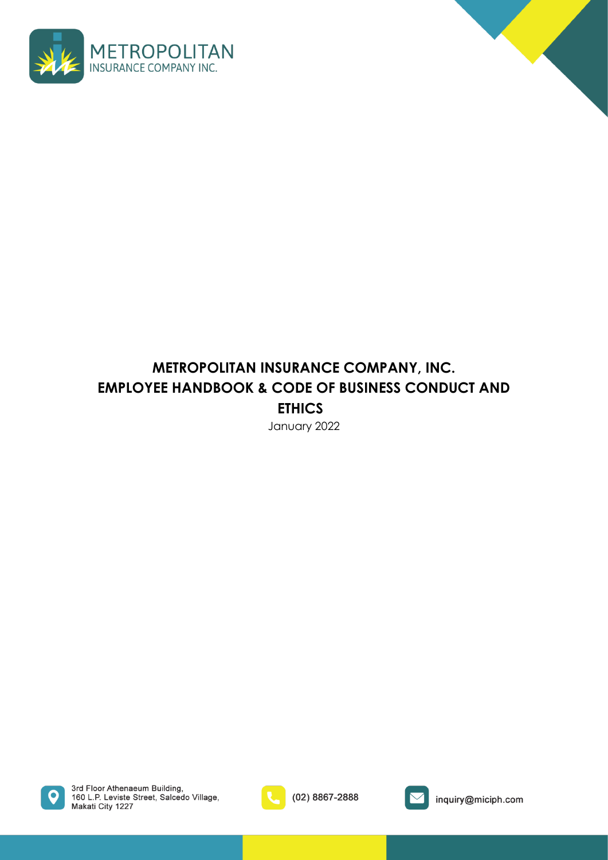



# **METROPOLITAN INSURANCE COMPANY, INC. EMPLOYEE HANDBOOK & CODE OF BUSINESS CONDUCT AND ETHICS**

January 2022



3rd Floor Athenaeum Building, 160 L.P. Leviste Street, Salcedo Village,<br>Makati City 1227



(02) 8867-2888



inquiry@miciph.com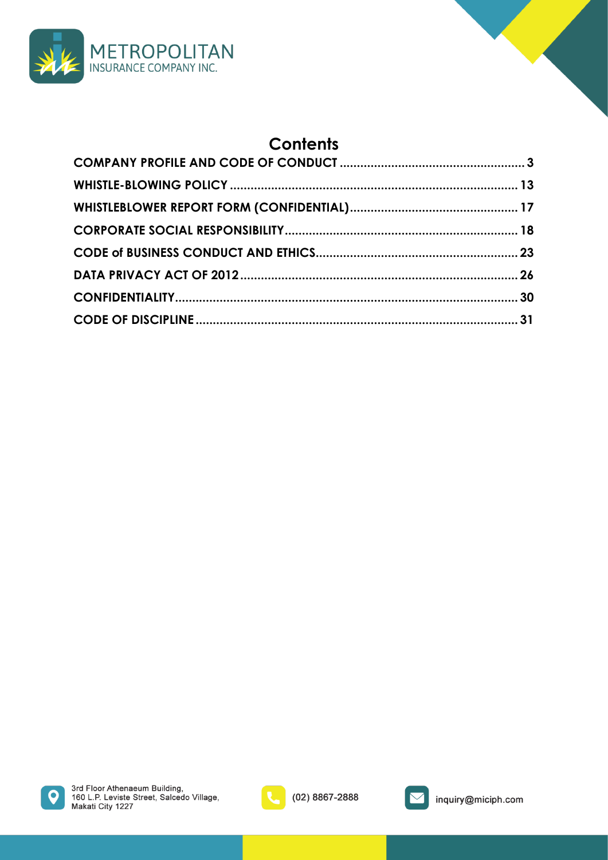

# **Contents**





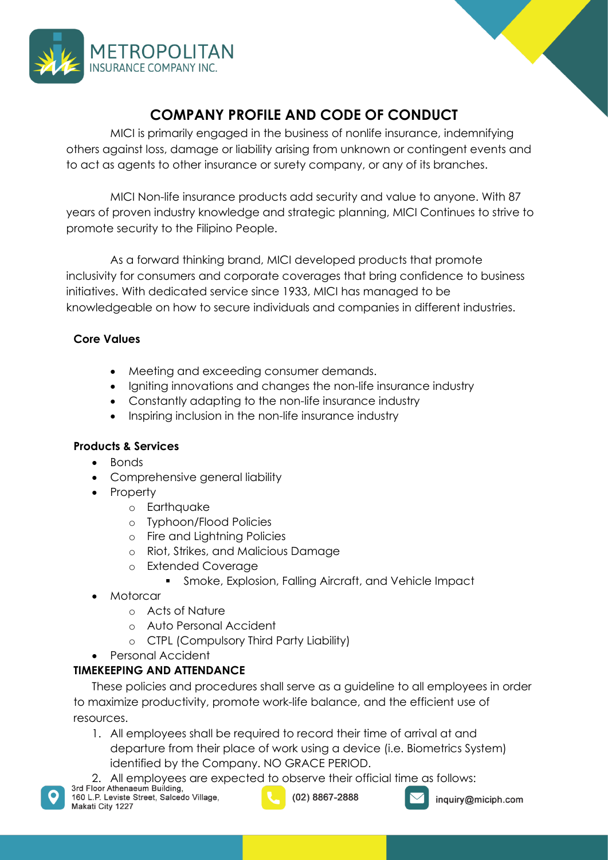

## **COMPANY PROFILE AND CODE OF CONDUCT**

<span id="page-2-0"></span>MICI is primarily engaged in the business of nonlife insurance, indemnifying others against loss, damage or liability arising from unknown or contingent events and to act as agents to other insurance or surety company, or any of its branches.

MICI Non-life insurance products add security and value to anyone. With 87 years of proven industry knowledge and strategic planning, MICI Continues to strive to promote security to the Filipino People.

As a forward thinking brand, MICI developed products that promote inclusivity for consumers and corporate coverages that bring confidence to business initiatives. With dedicated service since 1933, MICI has managed to be knowledgeable on how to secure individuals and companies in different industries.

## **Core Values**

- Meeting and exceeding consumer demands.
- Igniting innovations and changes the non-life insurance industry
- Constantly adapting to the non-life insurance industry
- Inspiring inclusion in the non-life insurance industry

## **Products & Services**

- Bonds
- Comprehensive general liability
- Property
	- o Earthquake
	- o Typhoon/Flood Policies
	- o Fire and Lightning Policies
	- o Riot, Strikes, and Malicious Damage
	- o Extended Coverage
		- Smoke, Explosion, Falling Aircraft, and Vehicle Impact
- Motorcar
	- o Acts of Nature
	- o Auto Personal Accident
	- o CTPL (Compulsory Third Party Liability)
- Personal Accident

## **TIMEKEEPING AND ATTENDANCE**

These policies and procedures shall serve as a guideline to all employees in order to maximize productivity, promote work-life balance, and the efficient use of resources.

- 1. All employees shall be required to record their time of arrival at and departure from their place of work using a device (i.e. Biometrics System) identified by the Company. NO GRACE PERIOD.
- 2. All employees are expected to observe their official time as follows:<br>3rd Floor Athenaeum Building,



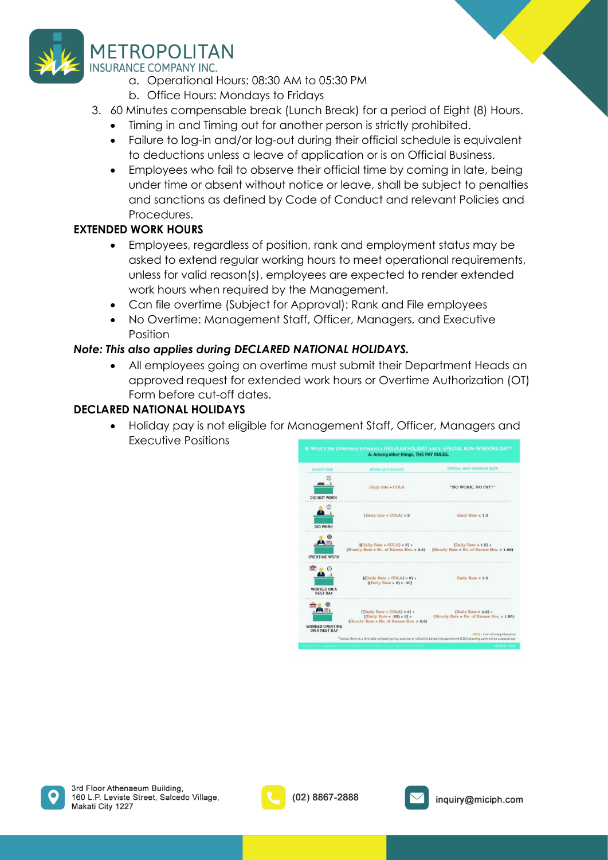

# **METROPOLITAN**

**INSURANCE COMPANY INC.** 

- a. Operational Hours: 08:30 AM to 05:30 PM
- b. Office Hours: Mondays to Fridays
- 3. 60 Minutes compensable break (Lunch Break) for a period of Eight (8) Hours.
	- Timing in and Timing out for another person is strictly prohibited.
	- Failure to log-in and/or log-out during their official schedule is equivalent to deductions unless a leave of application or is on Official Business.
	- Employees who fail to observe their official time by coming in late, being under time or absent without notice or leave, shall be subject to penalties and sanctions as defined by Code of Conduct and relevant Policies and Procedures.

## **EXTENDED WORK HOURS**

- Employees, regardless of position, rank and employment status may be asked to extend regular working hours to meet operational requirements, unless for valid reason(s), employees are expected to render extended work hours when required by the Management.
- Can file overtime (Subject for Approval): Rank and File employees
- No Overtime: Management Staff, Officer, Managers, and Executive Position

## *Note: This also applies during DECLARED NATIONAL HOLIDAYS.*

• All employees going on overtime must submit their Department Heads an approved request for extended work hours or Overtime Authorization (OT) Form before cut-off dates.

## **DECLARED NATIONAL HOLIDAYS**

• Holiday pay is not eligible for Management Staff, Officer, Managers and Executive Positions





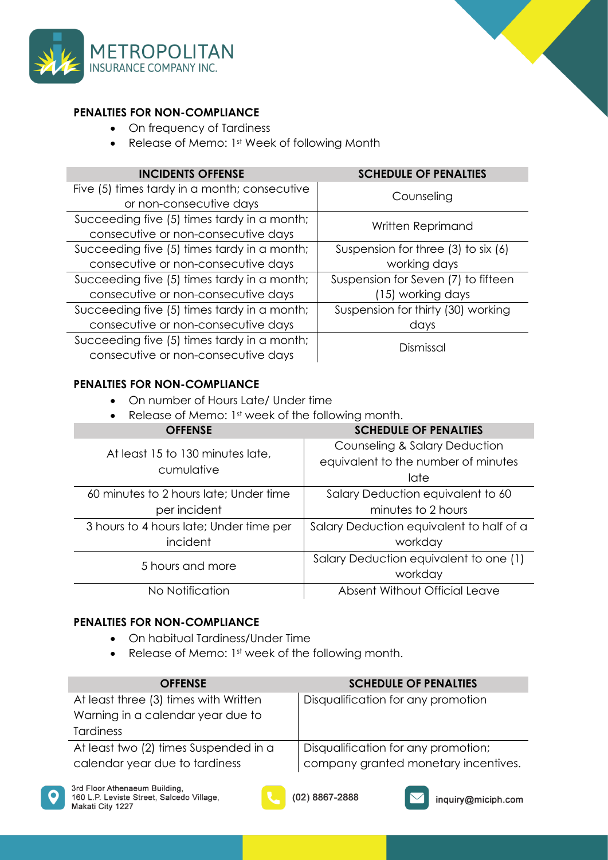

### **PENALTIES FOR NON-COMPLIANCE**

- On frequency of Tardiness
- Release of Memo: 1st Week of following Month

| <b>INCIDENTS OFFENSE</b>                     | <b>SCHEDULE OF PENALTIES</b>        |
|----------------------------------------------|-------------------------------------|
| Five (5) times tardy in a month; consecutive | Counseling                          |
| or non-consecutive days                      |                                     |
| Succeeding five (5) times tardy in a month;  | Written Reprimand                   |
| consecutive or non-consecutive days          |                                     |
| Succeeding five (5) times tardy in a month;  | Suspension for three (3) to six (6) |
| consecutive or non-consecutive days          | working days                        |
| Succeeding five (5) times tardy in a month;  | Suspension for Seven (7) to fifteen |
| consecutive or non-consecutive days          | (15) working days                   |
| Succeeding five (5) times tardy in a month;  | Suspension for thirty (30) working  |
| consecutive or non-consecutive days          | days                                |
| Succeeding five (5) times tardy in a month;  | Dismissal                           |
| consecutive or non-consecutive days          |                                     |

### **PENALTIES FOR NON-COMPLIANCE**

- On number of Hours Late/ Under time
- Release of Memo: 1st week of the following month.

| <b>OFFENSE</b>                                 | <b>SCHEDULE OF PENALTIES</b>             |
|------------------------------------------------|------------------------------------------|
| At least 15 to 130 minutes late,<br>cumulative | <b>Counseling &amp; Salary Deduction</b> |
|                                                | equivalent to the number of minutes      |
|                                                | late                                     |
| 60 minutes to 2 hours late; Under time         | Salary Deduction equivalent to 60        |
| per incident                                   | minutes to 2 hours                       |
| 3 hours to 4 hours late; Under time per        | Salary Deduction equivalent to half of a |
| incident                                       | workday                                  |
| 5 hours and more                               | Salary Deduction equivalent to one (1)   |
|                                                | workday                                  |
| No Notification                                | Absent Without Official Leave            |

### **PENALTIES FOR NON-COMPLIANCE**

- On habitual Tardiness/Under Time
- Release of Memo: 1st week of the following month.

| <b>OFFENSE</b>                        | <b>SCHEDULE OF PENALTIES</b>         |
|---------------------------------------|--------------------------------------|
| At least three (3) times with Written | Disqualification for any promotion   |
| Warning in a calendar year due to     |                                      |
| <b>Tardiness</b>                      |                                      |
| At least two (2) times Suspended in a | Disqualification for any promotion;  |
| calendar year due to tardiness        | company granted monetary incentives. |





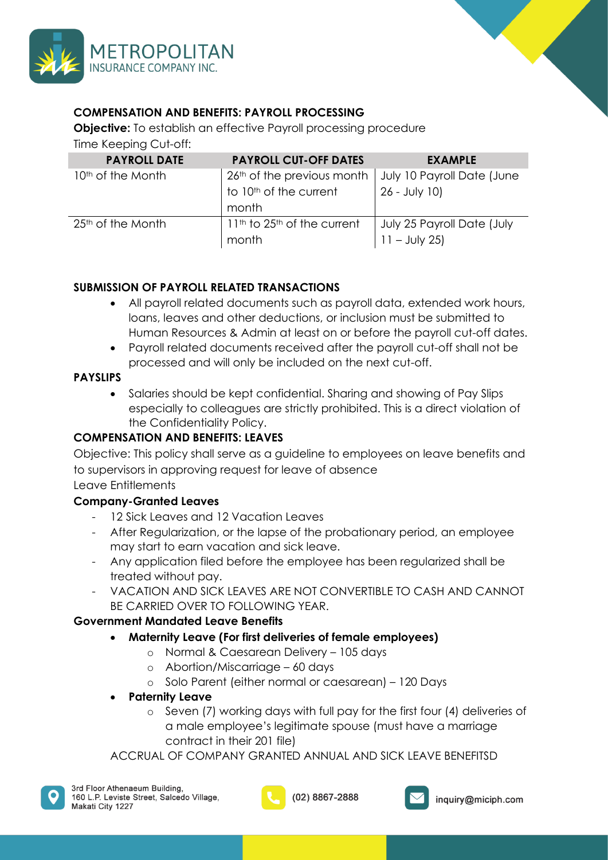



## **COMPENSATION AND BENEFITS: PAYROLL PROCESSING**

**Objective:** To establish an effective Payroll processing procedure

Time Keeping Cut-off:

| <b>PAYROLL DATE</b>           | <b>PAYROLL CUT-OFF DATES</b>                         | <b>EXAMPLE</b>             |
|-------------------------------|------------------------------------------------------|----------------------------|
| 10 <sup>th</sup> of the Month | $\frac{1}{2}$ 26 <sup>th</sup> of the previous month | July 10 Payroll Date (June |
|                               | to 10 <sup>th</sup> of the current                   | 26 - July 10)              |
|                               | month                                                |                            |
| $25th$ of the Month           | $11th$ to 25 <sup>th</sup> of the current            | July 25 Payroll Date (July |
|                               | month                                                | $11 - July 25$             |

## **SUBMISSION OF PAYROLL RELATED TRANSACTIONS**

- All payroll related documents such as payroll data, extended work hours, loans, leaves and other deductions, or inclusion must be submitted to Human Resources & Admin at least on or before the payroll cut-off dates.
- Payroll related documents received after the payroll cut-off shall not be processed and will only be included on the next cut-off.

## **PAYSLIPS**

• Salaries should be kept confidential. Sharing and showing of Pay Slips especially to colleagues are strictly prohibited. This is a direct violation of the Confidentiality Policy.

## **COMPENSATION AND BENEFITS: LEAVES**

Objective: This policy shall serve as a guideline to employees on leave benefits and to supervisors in approving request for leave of absence

## Leave Entitlements

## **Company-Granted Leaves**

- 12 Sick Leaves and 12 Vacation Leaves
- After Regularization, or the lapse of the probationary period, an employee may start to earn vacation and sick leave.
- Any application filed before the employee has been regularized shall be treated without pay.
- VACATION AND SICK LEAVES ARE NOT CONVERTIBLE TO CASH AND CANNOT BE CARRIED OVER TO FOLLOWING YEAR.

## **Government Mandated Leave Benefits**

- **Maternity Leave (For first deliveries of female employees)**
	- o Normal & Caesarean Delivery 105 days
	- o Abortion/Miscarriage 60 days
	- o Solo Parent (either normal or caesarean) 120 Days
- **Paternity Leave** 
	- o Seven (7) working days with full pay for the first four (4) deliveries of a male employee's legitimate spouse (must have a marriage contract in their 201 file)

ACCRUAL OF COMPANY GRANTED ANNUAL AND SICK LEAVE BENEFITSD



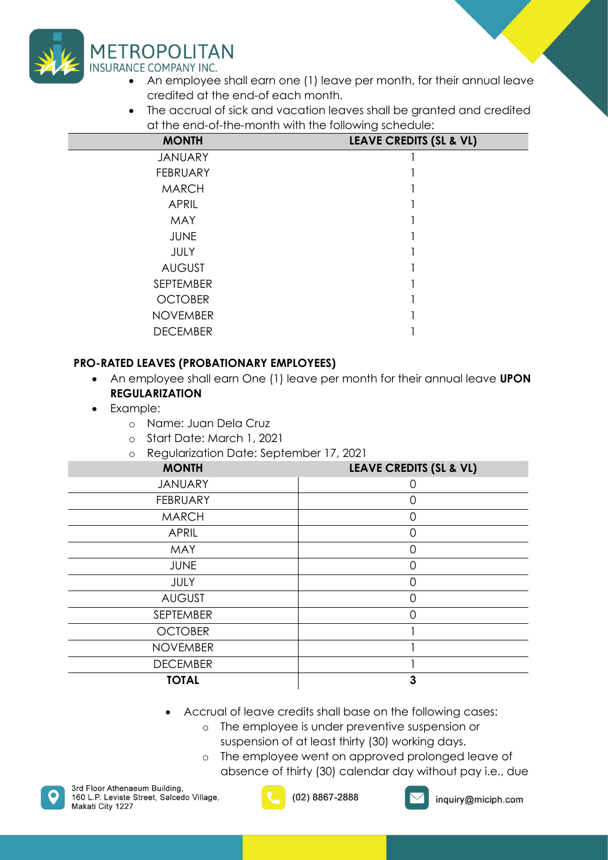

- An employee shall earn one (1) leave per month, for their annual leave credited at the end-of each month.
- The accrual of sick and vacation leaves shall be granted and credited at the end-of-the-month with the following schedule:

| <b>MONTH</b>     | <b>LEAVE CREDITS (SL &amp; VL)</b> |
|------------------|------------------------------------|
| <b>JANUARY</b>   |                                    |
| <b>FEBRUARY</b>  |                                    |
| <b>MARCH</b>     |                                    |
| <b>APRIL</b>     |                                    |
| <b>MAY</b>       |                                    |
| <b>JUNE</b>      |                                    |
| <b>JULY</b>      |                                    |
| <b>AUGUST</b>    |                                    |
| <b>SEPTEMBER</b> |                                    |
| <b>OCTOBER</b>   |                                    |
| <b>NOVEMBER</b>  |                                    |
| <b>DECEMBER</b>  |                                    |

## **PRO-RATED LEAVES (PROBATIONARY EMPLOYEES)**

- An employee shall earn One (1) leave per month for their annual leave **UPON REGULARIZATION**
- Example:
	- o Name: Juan Dela Cruz
	- o Start Date: March 1, 2021
	- o Regularization Date: September 17, 2021

| .<br><b>MONTH</b> | <b>LEAVE CREDITS (SL &amp; VL)</b> |
|-------------------|------------------------------------|
| <b>JANUARY</b>    | O                                  |
| <b>FEBRUARY</b>   | ∩                                  |
| <b>MARCH</b>      | 0                                  |
| <b>APRIL</b>      | 0                                  |
| <b>MAY</b>        | Ω                                  |
| <b>JUNE</b>       | $\Omega$                           |
| <b>JULY</b>       | ∩                                  |
| <b>AUGUST</b>     | Ω                                  |
| <b>SEPTEMBER</b>  | $\Omega$                           |
| <b>OCTOBER</b>    |                                    |
| <b>NOVEMBER</b>   |                                    |
| <b>DECEMBER</b>   |                                    |
| <b>TOTAL</b>      | 3                                  |

- Accrual of leave credits shall base on the following cases:
	- o The employee is under preventive suspension or suspension of at least thirty (30) working days.
	- o The employee went on approved prolonged leave of absence of thirty (30) calendar day without pay i.e., due





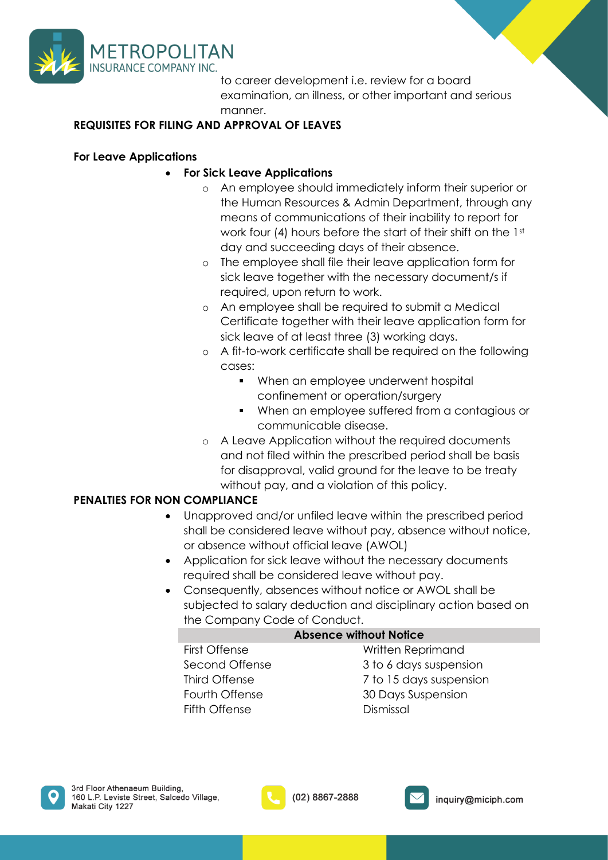

to career development i.e. review for a board examination, an illness, or other important and serious manner.

## **REQUISITES FOR FILING AND APPROVAL OF LEAVES**

### **For Leave Applications**

## • **For Sick Leave Applications**

- o An employee should immediately inform their superior or the Human Resources & Admin Department, through any means of communications of their inability to report for work four (4) hours before the start of their shift on the 1st day and succeeding days of their absence.
- o The employee shall file their leave application form for sick leave together with the necessary document/s if required, upon return to work.
- o An employee shall be required to submit a Medical Certificate together with their leave application form for sick leave of at least three (3) working days.
- o A fit-to-work certificate shall be required on the following cases:
	- When an employee underwent hospital confinement or operation/surgery
	- When an employee suffered from a contagious or communicable disease.
- o A Leave Application without the required documents and not filed within the prescribed period shall be basis for disapproval, valid ground for the leave to be treaty without pay, and a violation of this policy.

### **PENALTIES FOR NON COMPLIANCE**

- Unapproved and/or unfiled leave within the prescribed period shall be considered leave without pay, absence without notice, or absence without official leave (AWOL)
- Application for sick leave without the necessary documents required shall be considered leave without pay.
- Consequently, absences without notice or AWOL shall be subjected to salary deduction and disciplinary action based on the Company Code of Conduct.

|                | Absence witho |
|----------------|---------------|
| First Offense  | W             |
| Second Offense | $\mathcal{B}$ |
| Third Offense  |               |
| Fourth Offense | 30            |
| Fifth Offense  | Di            |
|                |               |

## **Absolut Notice**

'ritten Reprimand to 6 days suspension to 15 days suspension **Days Suspension** ismissal



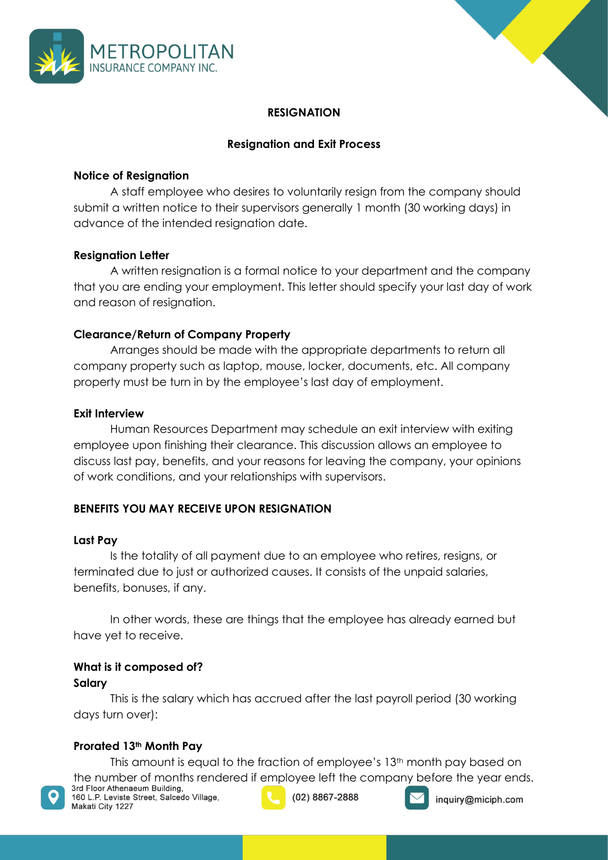



## **RESIGNATION**

## **Resignation and Exit Process**

### **Notice of Resignation**

A staff employee who desires to voluntarily resign from the company should submit a written notice to their supervisors generally 1 month (30 working days) in advance of the intended resignation date.

### **Resignation Letter**

A written resignation is a formal notice to your department and the company that you are ending your employment. This letter should specify your last day of work and reason of resignation.

### **Clearance/Return of Company Property**

Arranges should be made with the appropriate departments to return all company property such as laptop, mouse, locker, documents, etc. All company property must be turn in by the employee's last day of employment.

### **Exit Interview**

Human Resources Department may schedule an exit interview with exiting employee upon finishing their clearance. This discussion allows an employee to discuss last pay, benefits, and your reasons for leaving the company, your opinions of work conditions, and your relationships with supervisors.

### **BENEFITS YOU MAY RECEIVE UPON RESIGNATION**

### **Last Pay**

Is the totality of all payment due to an employee who retires, resigns, or terminated due to just or authorized causes. It consists of the unpaid salaries, benefits, bonuses, if any.

In other words, these are things that the employee has already earned but have yet to receive.

## **What is it composed of?**

### **Salary**

This is the salary which has accrued after the last payroll period (30 working days turn over):

### **Prorated 13th Month Pay**

This amount is equal to the fraction of employee's 13<sup>th</sup> month pay based on the number of months rendered if employee left the company before the year ends.<br>3rd Floor Athenaeum Building,



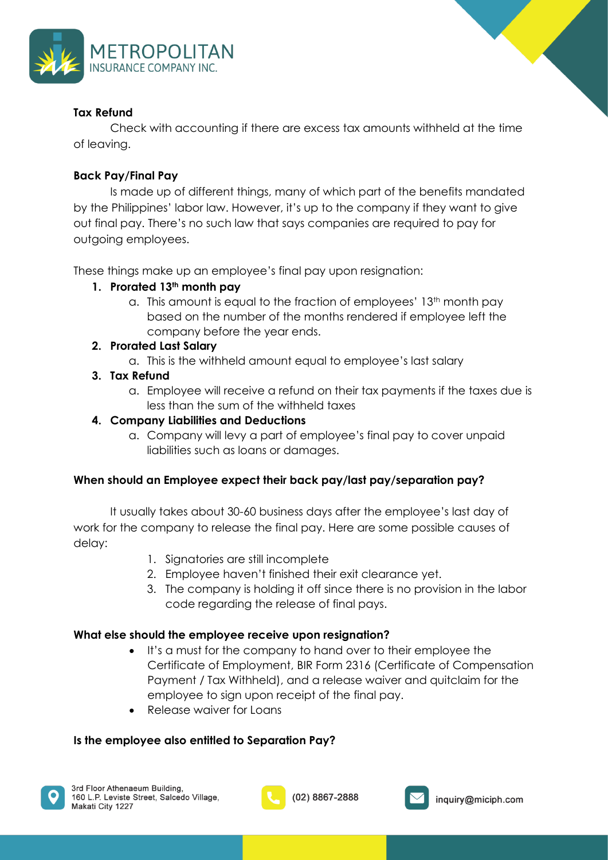

### **Tax Refund**

Check with accounting if there are excess tax amounts withheld at the time of leaving.

### **Back Pay/Final Pay**

Is made up of different things, many of which part of the benefits mandated by the Philippines' labor law. However, it's up to the company if they want to give out final pay. There's no such law that says companies are required to pay for outgoing employees.

These things make up an employee's final pay upon resignation:

### **1. Prorated 13th month pay**

a. This amount is equal to the fraction of employees'  $13<sup>th</sup>$  month pay based on the number of the months rendered if employee left the company before the year ends.

### **2. Prorated Last Salary**

a. This is the withheld amount equal to employee's last salary

### **3. Tax Refund**

a. Employee will receive a refund on their tax payments if the taxes due is less than the sum of the withheld taxes

### **4. Company Liabilities and Deductions**

a. Company will levy a part of employee's final pay to cover unpaid liabilities such as loans or damages.

### **When should an Employee expect their back pay/last pay/separation pay?**

It usually takes about 30-60 business days after the employee's last day of work for the company to release the final pay. Here are some possible causes of delay:

- 1. Signatories are still incomplete
- 2. Employee haven't finished their exit clearance yet.
- 3. The company is holding it off since there is no provision in the labor code regarding the release of final pays.

### **What else should the employee receive upon resignation?**

- It's a must for the company to hand over to their employee the Certificate of Employment, BIR Form 2316 (Certificate of Compensation Payment / Tax Withheld), and a release waiver and quitclaim for the employee to sign upon receipt of the final pay.
- Release waiver for Loans

### **Is the employee also entitled to Separation Pay?**





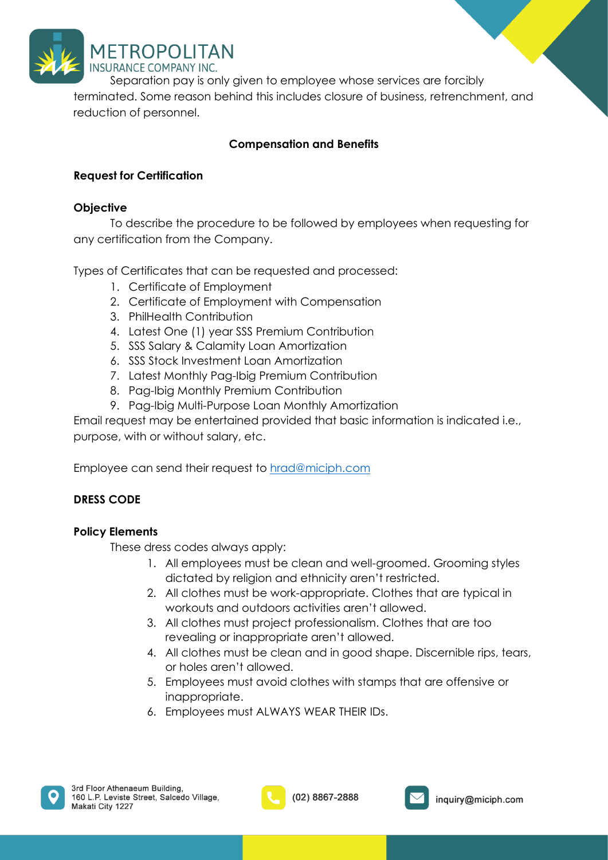

Separation pay is only given to employee whose services are forcibly terminated. Some reason behind this includes closure of business, retrenchment, and reduction of personnel.

## **Compensation and Benefits**

## **Request for Certification**

### **Objective**

To describe the procedure to be followed by employees when requesting for any certification from the Company.

Types of Certificates that can be requested and processed:

- 1. Certificate of Employment
- 2. Certificate of Employment with Compensation
- 3. PhilHealth Contribution
- 4. Latest One (1) year SSS Premium Contribution
- 5. SSS Salary & Calamity Loan Amortization
- 6. SSS Stock Investment Loan Amortization
- 7. Latest Monthly Pag-Ibig Premium Contribution
- 8. Pag-Ibig Monthly Premium Contribution
- 9. Pag-Ibig Multi-Purpose Loan Monthly Amortization

Email request may be entertained provided that basic information is indicated i.e., purpose, with or without salary, etc.

Employee can send their request to [hrad@miciph.com](mailto:hrad@miciph.com)

## **DRESS CODE**

### **Policy Elements**

These dress codes always apply:

- 1. All employees must be clean and well-groomed. Grooming styles dictated by religion and ethnicity aren't restricted.
- 2. All clothes must be work-appropriate. Clothes that are typical in workouts and outdoors activities aren't allowed.
- 3. All clothes must project professionalism. Clothes that are too revealing or inappropriate aren't allowed.
- 4. All clothes must be clean and in good shape. Discernible rips, tears, or holes aren't allowed.
- 5. Employees must avoid clothes with stamps that are offensive or inappropriate.
- 6. Employees must ALWAYS WEAR THEIR IDs.



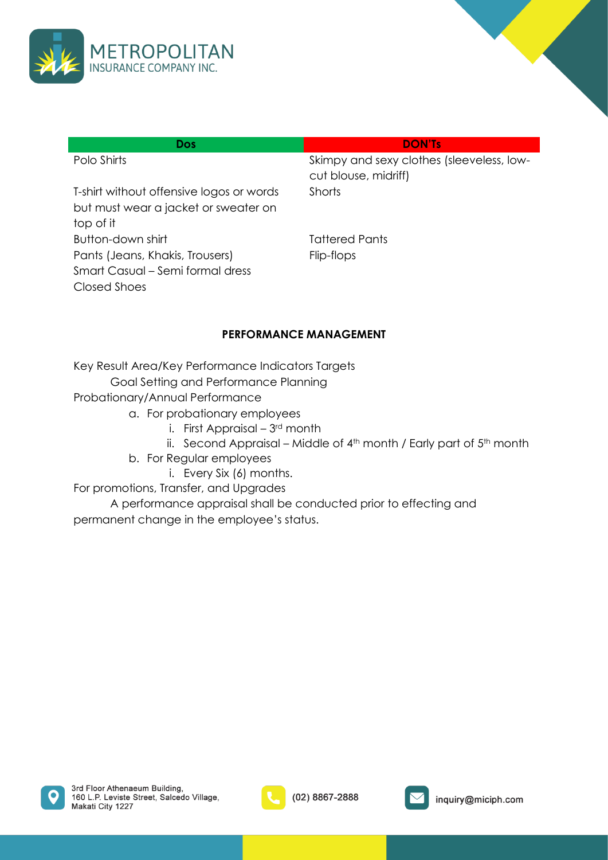

| <b>Dos</b>                                                                                    | <b>DON'Ts</b>                                                     |
|-----------------------------------------------------------------------------------------------|-------------------------------------------------------------------|
| Polo Shirts                                                                                   | Skimpy and sexy clothes (sleeveless, low-<br>cut blouse, midriff) |
| T-shirt without offensive logos or words<br>but must wear a jacket or sweater on<br>top of it | Shorts                                                            |
| Button-down shirt                                                                             | Tattered Pants                                                    |
| Pants (Jeans, Khakis, Trousers)<br>Smart Casual – Semi formal dress<br>Closed Shoes           | Flip-flops                                                        |

### **PERFORMANCE MANAGEMENT**

Key Result Area/Key Performance Indicators Targets

- Goal Setting and Performance Planning
- Probationary/Annual Performance
	- a. For probationary employees
		- i. First Appraisal 3rd month
		- ii. Second Appraisal Middle of  $4<sup>th</sup>$  month / Early part of  $5<sup>th</sup>$  month
	- b. For Regular employees
		- i. Every Six (6) months.

For promotions, Transfer, and Upgrades

A performance appraisal shall be conducted prior to effecting and permanent change in the employee's status.





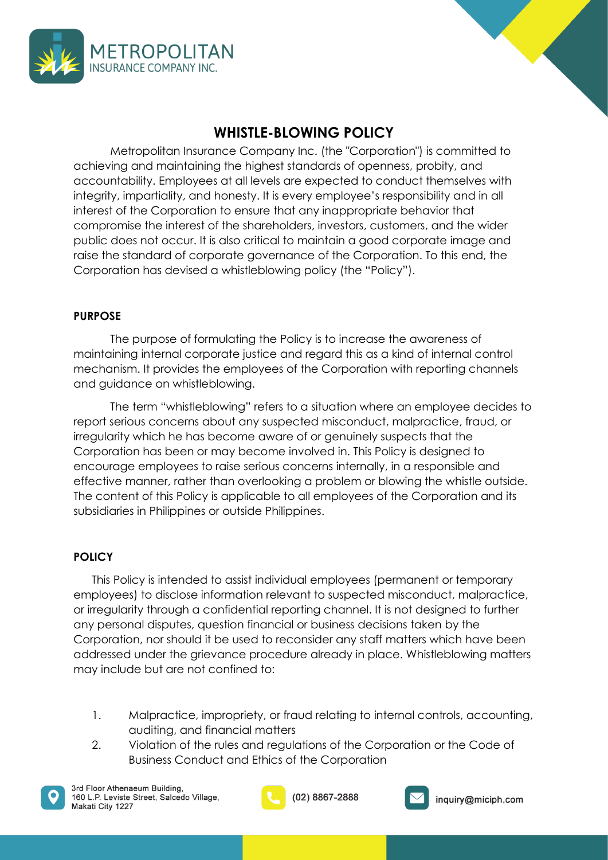



<span id="page-12-0"></span>Metropolitan Insurance Company Inc. (the "Corporation") is committed to achieving and maintaining the highest standards of openness, probity, and accountability. Employees at all levels are expected to conduct themselves with integrity, impartiality, and honesty. It is every employee's responsibility and in all interest of the Corporation to ensure that any inappropriate behavior that compromise the interest of the shareholders, investors, customers, and the wider public does not occur. It is also critical to maintain a good corporate image and raise the standard of corporate governance of the Corporation. To this end, the Corporation has devised a whistleblowing policy (the "Policy").

## **PURPOSE**

The purpose of formulating the Policy is to increase the awareness of maintaining internal corporate justice and regard this as a kind of internal control mechanism. It provides the employees of the Corporation with reporting channels and guidance on whistleblowing.

The term "whistleblowing" refers to a situation where an employee decides to report serious concerns about any suspected misconduct, malpractice, fraud, or irregularity which he has become aware of or genuinely suspects that the Corporation has been or may become involved in. This Policy is designed to encourage employees to raise serious concerns internally, in a responsible and effective manner, rather than overlooking a problem or blowing the whistle outside. The content of this Policy is applicable to all employees of the Corporation and its subsidiaries in Philippines or outside Philippines.

### **POLICY**

This Policy is intended to assist individual employees (permanent or temporary employees) to disclose information relevant to suspected misconduct, malpractice, or irregularity through a confidential reporting channel. It is not designed to further any personal disputes, question financial or business decisions taken by the Corporation, nor should it be used to reconsider any staff matters which have been addressed under the grievance procedure already in place. Whistleblowing matters may include but are not confined to:

- 1. Malpractice, impropriety, or fraud relating to internal controls, accounting, auditing, and financial matters
- 2. Violation of the rules and regulations of the Corporation or the Code of Business Conduct and Ethics of the Corporation



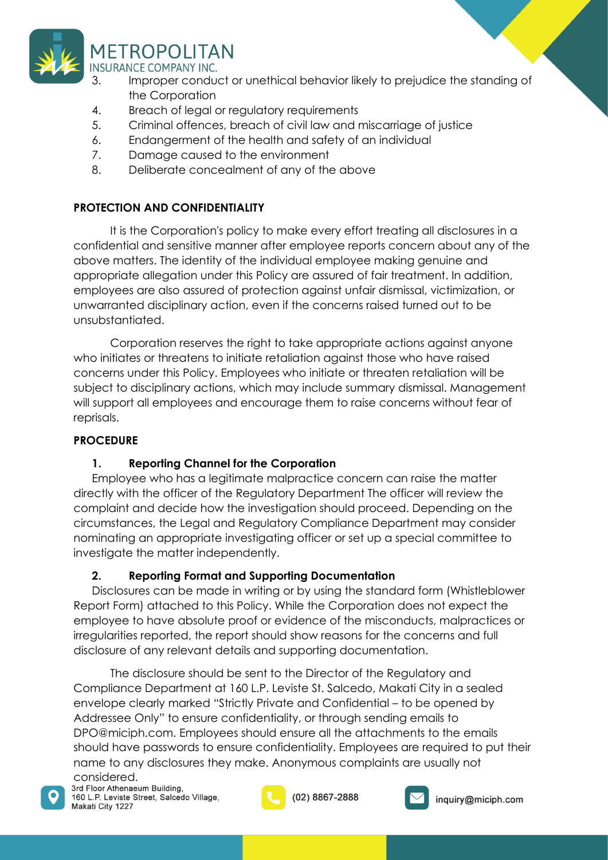

- 3. Improper conduct or unethical behavior likely to prejudice the standing of the Corporation
- 4. Breach of legal or regulatory requirements
- 5. Criminal offences, breach of civil law and miscarriage of justice
- 6. Endangerment of the health and safety of an individual
- 7. Damage caused to the environment
- 8. Deliberate concealment of any of the above

## **PROTECTION AND CONFIDENTIALITY**

It is the Corporation's policy to make every effort treating all disclosures in a confidential and sensitive manner after employee reports concern about any of the above matters. The identity of the individual employee making genuine and appropriate allegation under this Policy are assured of fair treatment. In addition, employees are also assured of protection against unfair dismissal, victimization, or unwarranted disciplinary action, even if the concerns raised turned out to be unsubstantiated.

Corporation reserves the right to take appropriate actions against anyone who initiates or threatens to initiate retaliation against those who have raised concerns under this Policy. Employees who initiate or threaten retaliation will be subject to disciplinary actions, which may include summary dismissal. Management will support all employees and encourage them to raise concerns without fear of reprisals.

## **PROCEDURE**

## **1. Reporting Channel for the Corporation**

Employee who has a legitimate malpractice concern can raise the matter directly with the officer of the Regulatory Department The officer will review the complaint and decide how the investigation should proceed. Depending on the circumstances, the Legal and Regulatory Compliance Department may consider nominating an appropriate investigating officer or set up a special committee to investigate the matter independently.

## **2. Reporting Format and Supporting Documentation**

Disclosures can be made in writing or by using the standard form (Whistleblower Report Form) attached to this Policy. While the Corporation does not expect the employee to have absolute proof or evidence of the misconducts, malpractices or irregularities reported, the report should show reasons for the concerns and full disclosure of any relevant details and supporting documentation.

The disclosure should be sent to the Director of the Regulatory and Compliance Department at 160 L.P. Leviste St. Salcedo, Makati City in a sealed envelope clearly marked "Strictly Private and Confidential – to be opened by Addressee Only" to ensure confidentiality, or through sending emails to DPO@miciph.com. Employees should ensure all the attachments to the emails should have passwords to ensure confidentiality. Employees are required to put their name to any disclosures they make. Anonymous complaints are usually not

CONSIdered.<br>3rd Floor Athenaeum Building, 160 L.P. Leviste Street, Salcedo Village, Makati City 1227



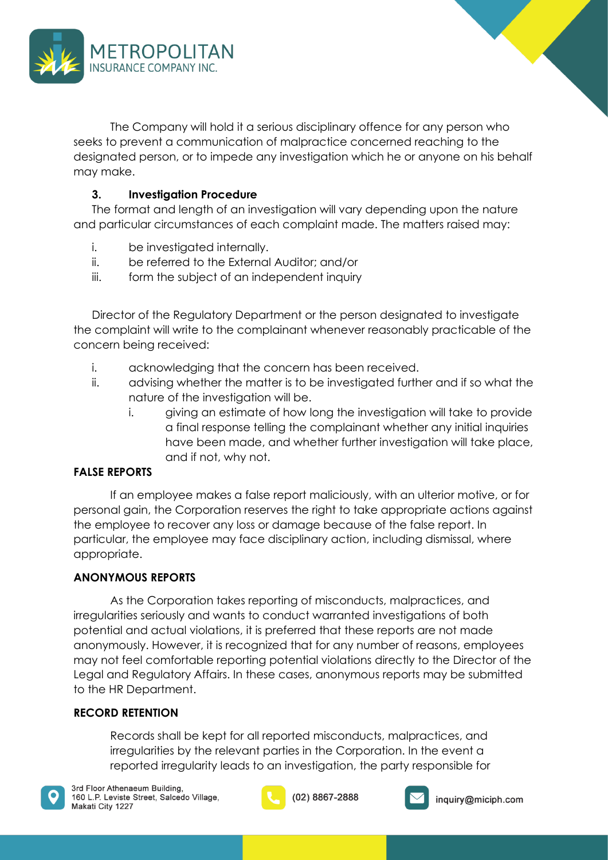

The Company will hold it a serious disciplinary offence for any person who seeks to prevent a communication of malpractice concerned reaching to the designated person, or to impede any investigation which he or anyone on his behalf may make.

## **3. Investigation Procedure**

The format and length of an investigation will vary depending upon the nature and particular circumstances of each complaint made. The matters raised may:

- i. be investigated internally.
- ii. be referred to the External Auditor; and/or
- iii. form the subject of an independent inquiry

Director of the Regulatory Department or the person designated to investigate the complaint will write to the complainant whenever reasonably practicable of the concern being received:

- i. acknowledging that the concern has been received.
- ii. advising whether the matter is to be investigated further and if so what the nature of the investigation will be.
	- i. giving an estimate of how long the investigation will take to provide a final response telling the complainant whether any initial inquiries have been made, and whether further investigation will take place, and if not, why not.

## **FALSE REPORTS**

If an employee makes a false report maliciously, with an ulterior motive, or for personal gain, the Corporation reserves the right to take appropriate actions against the employee to recover any loss or damage because of the false report. In particular, the employee may face disciplinary action, including dismissal, where appropriate.

### **ANONYMOUS REPORTS**

As the Corporation takes reporting of misconducts, malpractices, and irregularities seriously and wants to conduct warranted investigations of both potential and actual violations, it is preferred that these reports are not made anonymously. However, it is recognized that for any number of reasons, employees may not feel comfortable reporting potential violations directly to the Director of the Legal and Regulatory Affairs. In these cases, anonymous reports may be submitted to the HR Department.

### **RECORD RETENTION**

Records shall be kept for all reported misconducts, malpractices, and irregularities by the relevant parties in the Corporation. In the event a reported irregularity leads to an investigation, the party responsible for





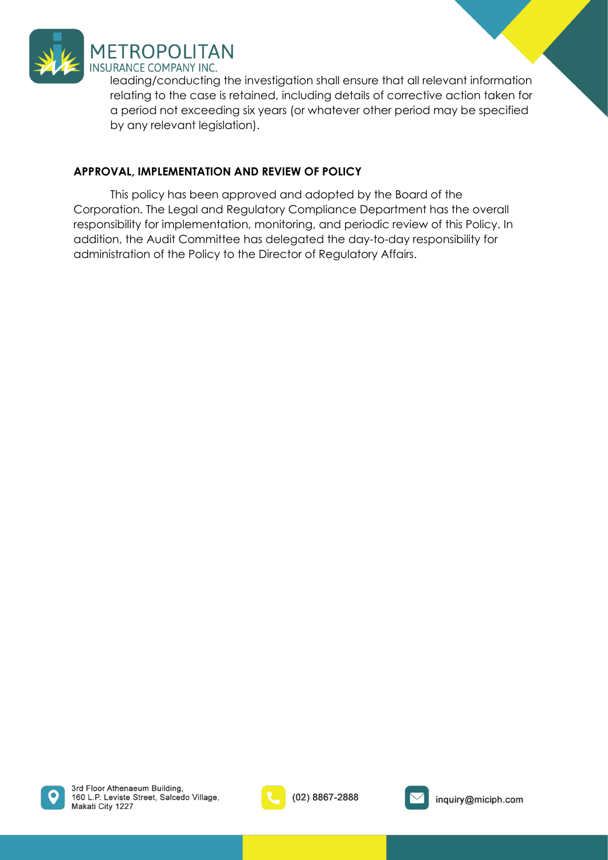

leading/conducting the investigation shall ensure that all relevant information relating to the case is retained, including details of corrective action taken for a period not exceeding six years (or whatever other period may be specified by any relevant legislation).

## **APPROVAL, IMPLEMENTATION AND REVIEW OF POLICY**

This policy has been approved and adopted by the Board of the Corporation. The Legal and Regulatory Compliance Department has the overall responsibility for implementation, monitoring, and periodic review of this Policy. In addition, the Audit Committee has delegated the day-to-day responsibility for administration of the Policy to the Director of Regulatory Affairs.





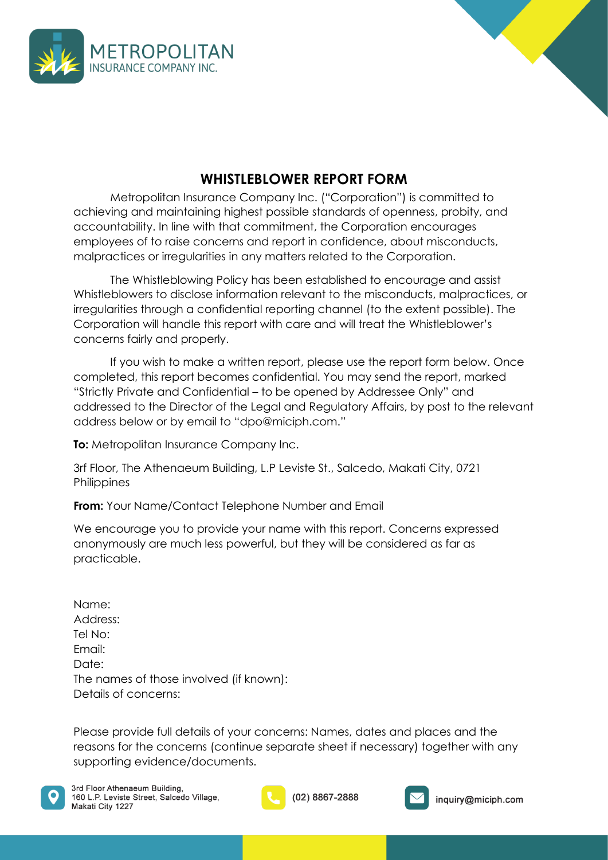



## **WHISTLEBLOWER REPORT FORM**

<span id="page-16-0"></span>Metropolitan Insurance Company Inc. ("Corporation") is committed to achieving and maintaining highest possible standards of openness, probity, and accountability. In line with that commitment, the Corporation encourages employees of to raise concerns and report in confidence, about misconducts, malpractices or irregularities in any matters related to the Corporation.

The Whistleblowing Policy has been established to encourage and assist Whistleblowers to disclose information relevant to the misconducts, malpractices, or irregularities through a confidential reporting channel (to the extent possible). The Corporation will handle this report with care and will treat the Whistleblower's concerns fairly and properly.

If you wish to make a written report, please use the report form below. Once completed, this report becomes confidential. You may send the report, marked "Strictly Private and Confidential – to be opened by Addressee Only" and addressed to the Director of the Legal and Regulatory Affairs, by post to the relevant address below or by email to "dpo@miciph.com."

**To:** Metropolitan Insurance Company Inc.

3rf Floor, The Athenaeum Building, L.P Leviste St., Salcedo, Makati City, 0721 **Philippines** 

**From:** Your Name/Contact Telephone Number and Email

We encourage you to provide your name with this report. Concerns expressed anonymously are much less powerful, but they will be considered as far as practicable.

Name: Address: Tel No: Email: Date: The names of those involved (if known): Details of concerns:

Please provide full details of your concerns: Names, dates and places and the reasons for the concerns (continue separate sheet if necessary) together with any supporting evidence/documents.





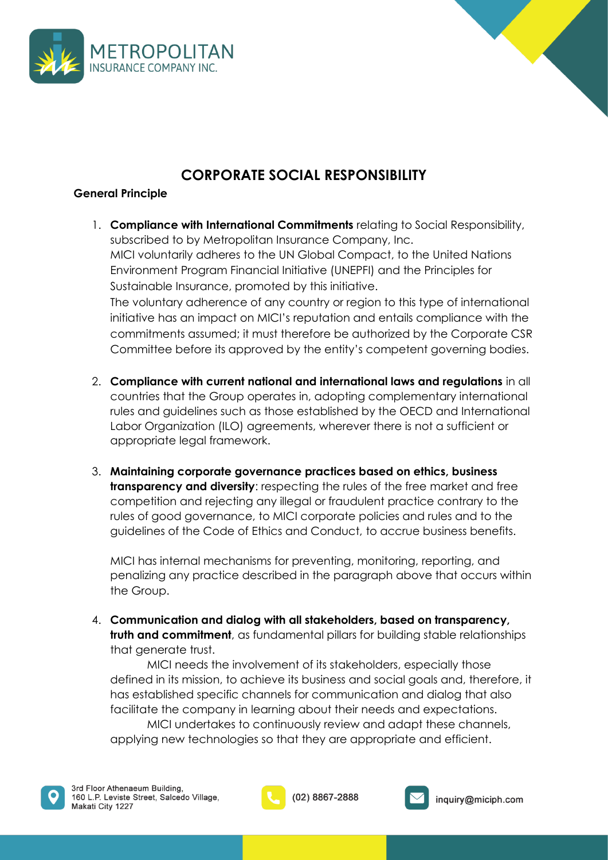



## **CORPORATE SOCIAL RESPONSIBILITY**

## <span id="page-17-0"></span>**General Principle**

- 1. **Compliance with International Commitments** relating to Social Responsibility, subscribed to by Metropolitan Insurance Company, Inc. MICI voluntarily adheres to the UN Global Compact, to the United Nations Environment Program Financial Initiative (UNEPFI) and the Principles for Sustainable Insurance, promoted by this initiative. The voluntary adherence of any country or region to this type of international initiative has an impact on MICI's reputation and entails compliance with the commitments assumed; it must therefore be authorized by the Corporate CSR Committee before its approved by the entity's competent governing bodies.
- 2. **Compliance with current national and international laws and regulations** in all countries that the Group operates in, adopting complementary international rules and guidelines such as those established by the OECD and International Labor Organization (ILO) agreements, wherever there is not a sufficient or appropriate legal framework.
- 3. **Maintaining corporate governance practices based on ethics, business transparency and diversity**: respecting the rules of the free market and free competition and rejecting any illegal or fraudulent practice contrary to the rules of good governance, to MICI corporate policies and rules and to the guidelines of the Code of Ethics and Conduct, to accrue business benefits.

MICI has internal mechanisms for preventing, monitoring, reporting, and penalizing any practice described in the paragraph above that occurs within the Group.

4. **Communication and dialog with all stakeholders, based on transparency, truth and commitment**, as fundamental pillars for building stable relationships that generate trust.

MICI needs the involvement of its stakeholders, especially those defined in its mission, to achieve its business and social goals and, therefore, it has established specific channels for communication and dialog that also facilitate the company in learning about their needs and expectations.

MICI undertakes to continuously review and adapt these channels, applying new technologies so that they are appropriate and efficient.



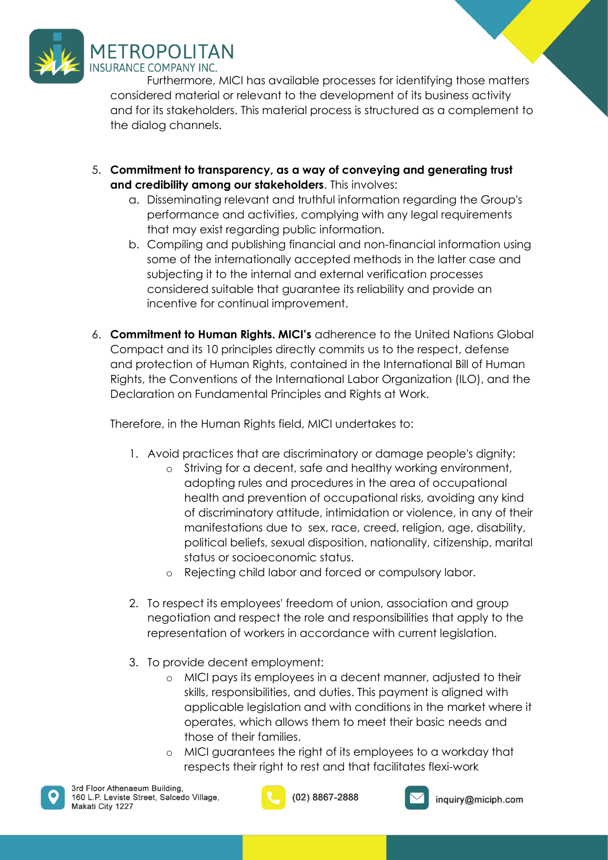

Furthermore, MICI has available processes for identifying those matters considered material or relevant to the development of its business activity and for its stakeholders. This material process is structured as a complement to the dialog channels.

- 5. **Commitment to transparency, as a way of conveying and generating trust and credibility among our stakeholders**. This involves:
	- a. Disseminating relevant and truthful information regarding the Group's performance and activities, complying with any legal requirements that may exist regarding public information.
	- b. Compiling and publishing financial and non-financial information using some of the internationally accepted methods in the latter case and subjecting it to the internal and external verification processes considered suitable that guarantee its reliability and provide an incentive for continual improvement.
- 6. **Commitment to Human Rights. MICI's** adherence to the United Nations Global Compact and its 10 principles directly commits us to the respect, defense and protection of Human Rights, contained in the International Bill of Human Rights, the Conventions of the International Labor Organization (ILO), and the Declaration on Fundamental Principles and Rights at Work.

Therefore, in the Human Rights field, MICI undertakes to:

- 1. Avoid practices that are discriminatory or damage people's dignity:
	- o Striving for a decent, safe and healthy working environment, adopting rules and procedures in the area of occupational health and prevention of occupational risks, avoiding any kind of discriminatory attitude, intimidation or violence, in any of their manifestations due to sex, race, creed, religion, age, disability, political beliefs, sexual disposition, nationality, citizenship, marital status or socioeconomic status.
	- o Rejecting child labor and forced or compulsory labor.
- 2. To respect its employees' freedom of union, association and group negotiation and respect the role and responsibilities that apply to the representation of workers in accordance with current legislation.
- 3. To provide decent employment:
	- o MICI pays its employees in a decent manner, adjusted to their skills, responsibilities, and duties. This payment is aligned with applicable legislation and with conditions in the market where it operates, which allows them to meet their basic needs and those of their families.
	- o MICI guarantees the right of its employees to a workday that respects their right to rest and that facilitates flexi-work





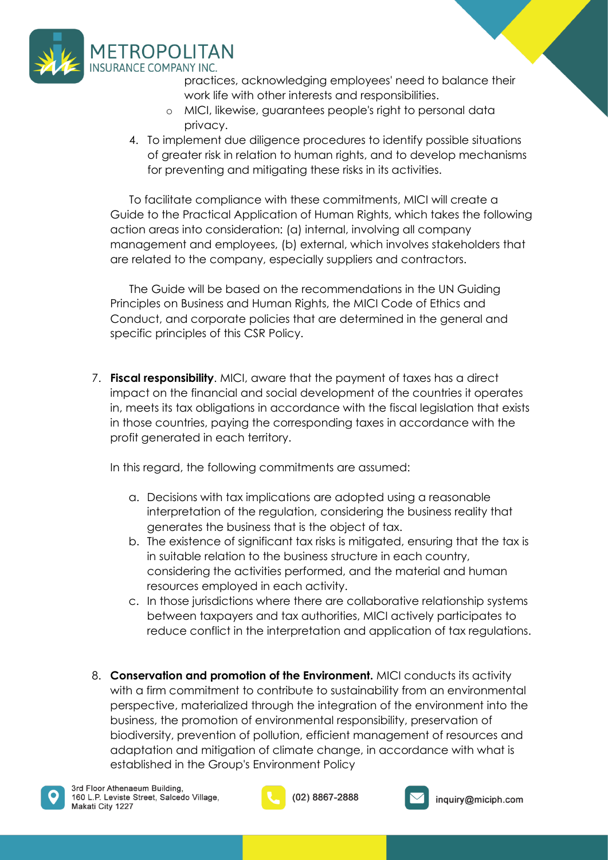

- practices, acknowledging employees' need to balance their work life with other interests and responsibilities.
- o MICI, likewise, guarantees people's right to personal data privacy.
- 4. To implement due diligence procedures to identify possible situations of greater risk in relation to human rights, and to develop mechanisms for preventing and mitigating these risks in its activities.

To facilitate compliance with these commitments, MICI will create a Guide to the Practical Application of Human Rights, which takes the following action areas into consideration: (a) internal, involving all company management and employees, (b) external, which involves stakeholders that are related to the company, especially suppliers and contractors.

The Guide will be based on the recommendations in the UN Guiding Principles on Business and Human Rights, the MICI Code of Ethics and Conduct, and corporate policies that are determined in the general and specific principles of this CSR Policy.

7. **Fiscal responsibility**. MICI, aware that the payment of taxes has a direct impact on the financial and social development of the countries it operates in, meets its tax obligations in accordance with the fiscal legislation that exists in those countries, paying the corresponding taxes in accordance with the profit generated in each territory.

In this regard, the following commitments are assumed:

- a. Decisions with tax implications are adopted using a reasonable interpretation of the regulation, considering the business reality that generates the business that is the object of tax.
- b. The existence of significant tax risks is mitigated, ensuring that the tax is in suitable relation to the business structure in each country, considering the activities performed, and the material and human resources employed in each activity.
- c. In those jurisdictions where there are collaborative relationship systems between taxpayers and tax authorities, MICI actively participates to reduce conflict in the interpretation and application of tax regulations.
- 8. **Conservation and promotion of the Environment.** MICI conducts its activity with a firm commitment to contribute to sustainability from an environmental perspective, materialized through the integration of the environment into the business, the promotion of environmental responsibility, preservation of biodiversity, prevention of pollution, efficient management of resources and adaptation and mitigation of climate change, in accordance with what is established in the Group's Environment Policy



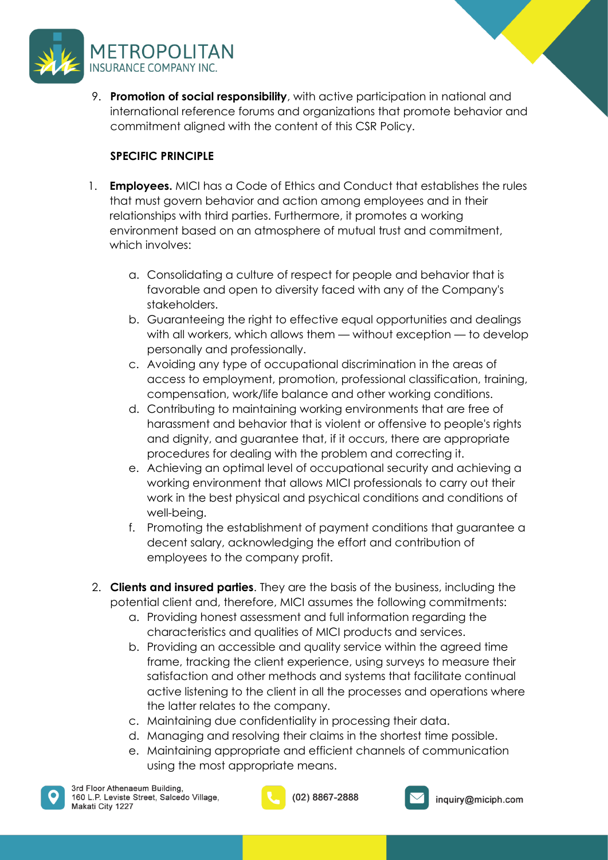

9. **Promotion of social responsibility**, with active participation in national and international reference forums and organizations that promote behavior and commitment aligned with the content of this CSR Policy.

## **SPECIFIC PRINCIPLE**

- 1. **Employees.** MICI has a Code of Ethics and Conduct that establishes the rules that must govern behavior and action among employees and in their relationships with third parties. Furthermore, it promotes a working environment based on an atmosphere of mutual trust and commitment, which involves:
	- a. Consolidating a culture of respect for people and behavior that is favorable and open to diversity faced with any of the Company's stakeholders.
	- b. Guaranteeing the right to effective equal opportunities and dealings with all workers, which allows them — without exception — to develop personally and professionally.
	- c. Avoiding any type of occupational discrimination in the areas of access to employment, promotion, professional classification, training, compensation, work/life balance and other working conditions.
	- d. Contributing to maintaining working environments that are free of harassment and behavior that is violent or offensive to people's rights and dignity, and guarantee that, if it occurs, there are appropriate procedures for dealing with the problem and correcting it.
	- e. Achieving an optimal level of occupational security and achieving a working environment that allows MICI professionals to carry out their work in the best physical and psychical conditions and conditions of well-being.
	- f. Promoting the establishment of payment conditions that guarantee a decent salary, acknowledging the effort and contribution of employees to the company profit.
- 2. **Clients and insured parties**. They are the basis of the business, including the potential client and, therefore, MICI assumes the following commitments:
	- a. Providing honest assessment and full information regarding the characteristics and qualities of MICI products and services.
	- b. Providing an accessible and quality service within the agreed time frame, tracking the client experience, using surveys to measure their satisfaction and other methods and systems that facilitate continual active listening to the client in all the processes and operations where the latter relates to the company.
	- c. Maintaining due confidentiality in processing their data.
	- d. Managing and resolving their claims in the shortest time possible.
	- e. Maintaining appropriate and efficient channels of communication using the most appropriate means.



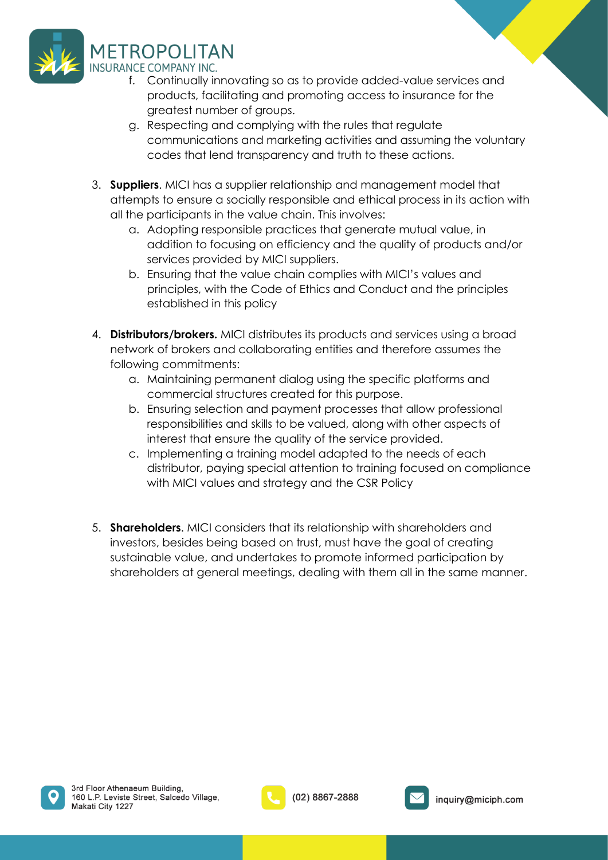

- f. Continually innovating so as to provide added-value services and products, facilitating and promoting access to insurance for the greatest number of groups.
- g. Respecting and complying with the rules that regulate communications and marketing activities and assuming the voluntary codes that lend transparency and truth to these actions.
- 3. **Suppliers**. MICI has a supplier relationship and management model that attempts to ensure a socially responsible and ethical process in its action with all the participants in the value chain. This involves:
	- a. Adopting responsible practices that generate mutual value, in addition to focusing on efficiency and the quality of products and/or services provided by MICI suppliers.
	- b. Ensuring that the value chain complies with MICI's values and principles, with the Code of Ethics and Conduct and the principles established in this policy
- 4. **Distributors/brokers.** MICI distributes its products and services using a broad network of brokers and collaborating entities and therefore assumes the following commitments:
	- a. Maintaining permanent dialog using the specific platforms and commercial structures created for this purpose.
	- b. Ensuring selection and payment processes that allow professional responsibilities and skills to be valued, along with other aspects of interest that ensure the quality of the service provided.
	- c. Implementing a training model adapted to the needs of each distributor, paying special attention to training focused on compliance with MICI values and strategy and the CSR Policy
- 5. **Shareholders**. MICI considers that its relationship with shareholders and investors, besides being based on trust, must have the goal of creating sustainable value, and undertakes to promote informed participation by shareholders at general meetings, dealing with them all in the same manner.





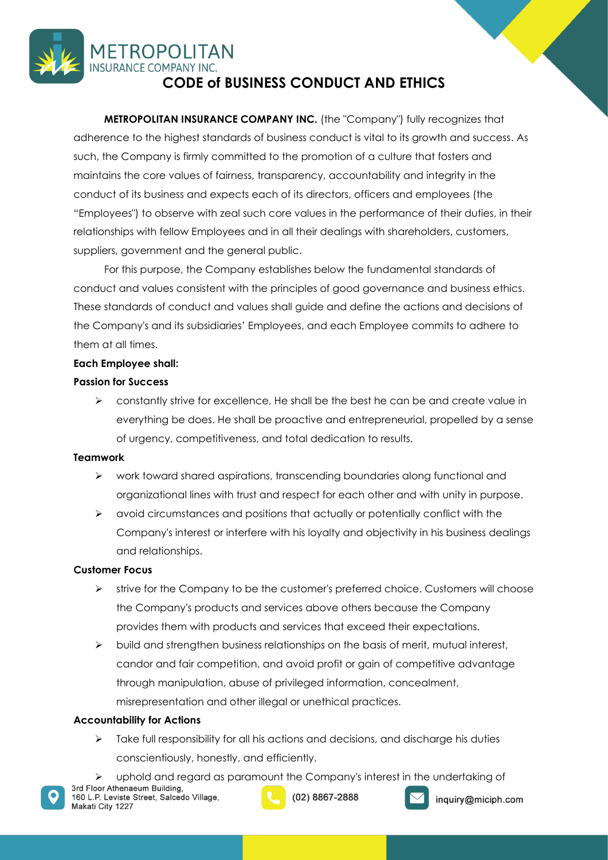## <span id="page-22-0"></span>**METROPOLITAN INSURANCE COMPANY INC. CODE of BUSINESS CONDUCT AND ETHICS**

**METROPOLITAN INSURANCE COMPANY INC.** (the "Company") fully recognizes that adherence to the highest standards of business conduct is vital to its growth and success. As such, the Company is firmly committed to the promotion of a culture that fosters and maintains the core values of fairness, transparency, accountability and integrity in the conduct of its business and expects each of its directors, officers and employees (the "Employees") to observe with zeal such core values in the performance of their duties, in their relationships with fellow Employees and in all their dealings with shareholders, customers, suppliers, government and the general public.

For this purpose, the Company establishes below the fundamental standards of conduct and values consistent with the principles of good governance and business ethics. These standards of conduct and values shall guide and define the actions and decisions of the Company's and its subsidiaries' Employees, and each Employee commits to adhere to them at all times.

### **Each Employee shall:**

### **Passion for Success**

 $\geq$  constantly strive for excellence. He shall be the best he can be and create value in everything be does. He shall be proactive and entrepreneurial, propelled by a sense of urgency, competitiveness, and total dedication to results.

### **Teamwork**

- ➢ work toward shared aspirations, transcending boundaries along functional and organizational lines with trust and respect for each other and with unity in purpose.
- ➢ avoid circumstances and positions that actually or potentially conflict with the Company's interest or interfere with his loyalty and objectivity in his business dealings and relationships.

### **Customer Focus**

- $\triangleright$  strive for the Company to be the customer's preferred choice. Customers will choose the Company's products and services above others because the Company provides them with products and services that exceed their expectations.
- $\triangleright$  build and strengthen business relationships on the basis of merit, mutual interest, candor and fair competition, and avoid profit or gain of competitive advantage through manipulation, abuse of privileged information, concealment, misrepresentation and other illegal or unethical practices.

### **Accountability for Actions**

- $\triangleright$  Take full responsibility for all his actions and decisions, and discharge his duties conscientiously, honestly, and efficiently.
- $\triangleright$  uphold and regard as paramount the Company's interest in the undertaking of 3rd Floor Athenaeum Building,





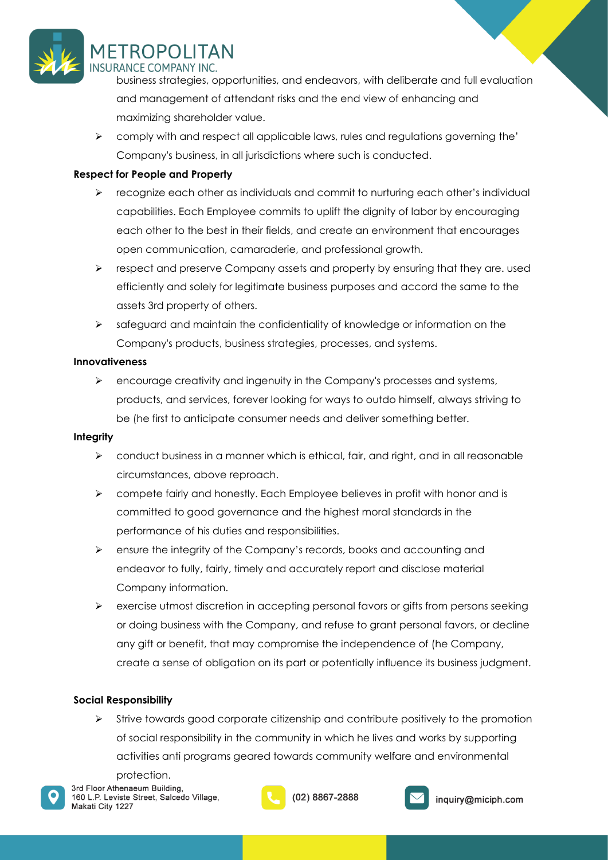

## MFTROPOI ITAN INSHRANCE COMPANY INC

business strategies, opportunities, and endeavors, with deliberate and full evaluation and management of attendant risks and the end view of enhancing and maximizing shareholder value.

 $\triangleright$  comply with and respect all applicable laws, rules and regulations governing the' Company's business, in all jurisdictions where such is conducted.

## **Respect for People and Property**

- ➢ recognize each other as individuals and commit to nurturing each other's individual capabilities. Each Employee commits to uplift the dignity of labor by encouraging each other to the best in their fields, and create an environment that encourages open communication, camaraderie, and professional growth.
- ➢ respect and preserve Company assets and property by ensuring that they are. used efficiently and solely for legitimate business purposes and accord the same to the assets 3rd property of others.
- ➢ safeguard and maintain the confidentiality of knowledge or information on the Company's products, business strategies, processes, and systems.

### **Innovativeness**

 $\triangleright$  encourage creativity and ingenuity in the Company's processes and systems, products, and services, forever looking for ways to outdo himself, always striving to be (he first to anticipate consumer needs and deliver something better.

### **Integrity**

- $\triangleright$  conduct business in a manner which is ethical, fair, and right, and in all reasonable circumstances, above reproach.
- ➢ compete fairly and honestly. Each Employee believes in profit with honor and is committed to good governance and the highest moral standards in the performance of his duties and responsibilities.
- ➢ ensure the integrity of the Company's records, books and accounting and endeavor to fully, fairly, timely and accurately report and disclose material Company information.
- ➢ exercise utmost discretion in accepting personal favors or gifts from persons seeking or doing business with the Company, and refuse to grant personal favors, or decline any gift or benefit, that may compromise the independence of (he Company, create a sense of obligation on its part or potentially influence its business judgment.

### **Social Responsibility**

➢ Strive towards good corporate citizenship and contribute positively to the promotion of social responsibility in the community in which he lives and works by supporting activities anti programs geared towards community welfare and environmental

protection.3rd Floor Athenaeum Building, 160 L.P. Leviste Street, Salcedo Village, Makati City 1227





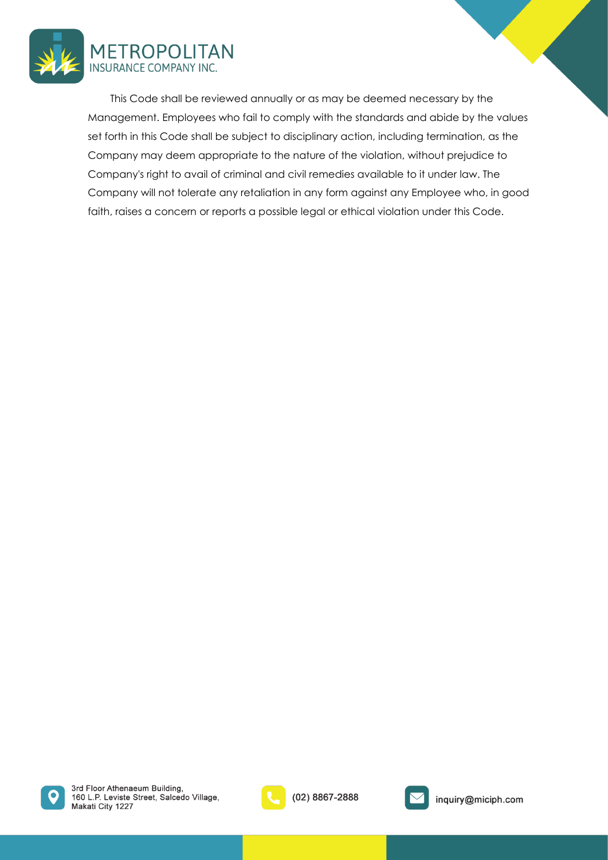

This Code shall be reviewed annually or as may be deemed necessary by the Management. Employees who fail to comply with the standards and abide by the values set forth in this Code shall be subject to disciplinary action, including termination, as the Company may deem appropriate to the nature of the violation, without prejudice to Company's right to avail of criminal and civil remedies available to it under law. The Company will not tolerate any retaliation in any form against any Employee who, in good faith, raises a concern or reports a possible legal or ethical violation under this Code.





(02) 8867-2888



inquiry@miciph.com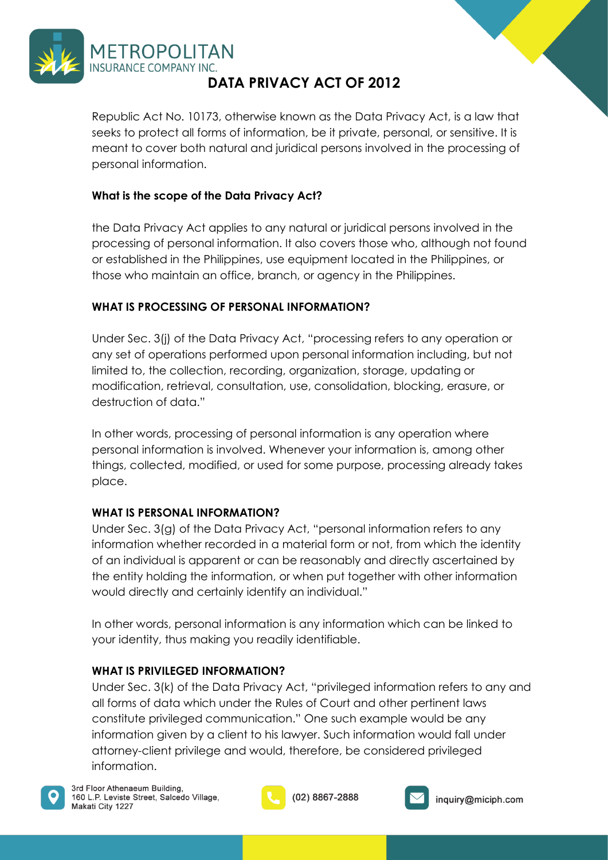

## **DATA PRIVACY ACT OF 2012**

<span id="page-25-0"></span>Republic Act No. 10173, otherwise known as the Data Privacy Act, is a law that seeks to protect all forms of information, be it private, personal, or sensitive. It is meant to cover both natural and juridical persons involved in the processing of personal information.

## **What is the scope of the Data Privacy Act?**

the Data Privacy Act applies to any natural or juridical persons involved in the processing of personal information. It also covers those who, although not found or established in the Philippines, use equipment located in the Philippines, or those who maintain an office, branch, or agency in the Philippines.

### **WHAT IS PROCESSING OF PERSONAL INFORMATION?**

Under Sec. 3(j) of the Data Privacy Act, "processing refers to any operation or any set of operations performed upon personal information including, but not limited to, the collection, recording, organization, storage, updating or modification, retrieval, consultation, use, consolidation, blocking, erasure, or destruction of data."

In other words, processing of personal information is any operation where personal information is involved. Whenever your information is, among other things, collected, modified, or used for some purpose, processing already takes place.

### **WHAT IS PERSONAL INFORMATION?**

Under Sec. 3(g) of the Data Privacy Act, "personal information refers to any information whether recorded in a material form or not, from which the identity of an individual is apparent or can be reasonably and directly ascertained by the entity holding the information, or when put together with other information would directly and certainly identify an individual."

In other words, personal information is any information which can be linked to your identity, thus making you readily identifiable.

### **WHAT IS PRIVILEGED INFORMATION?**

Under Sec. 3(k) of the Data Privacy Act, "privileged information refers to any and all forms of data which under the Rules of Court and other pertinent laws constitute privileged communication." One such example would be any information given by a client to his lawyer. Such information would fall under attorney-client privilege and would, therefore, be considered privileged information.



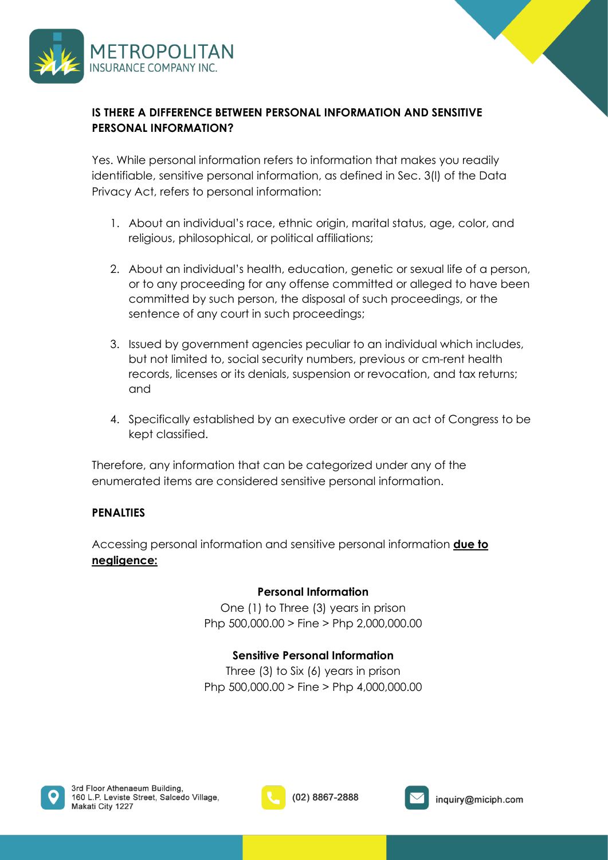

## **IS THERE A DIFFERENCE BETWEEN PERSONAL INFORMATION AND SENSITIVE PERSONAL INFORMATION?**

Yes. While personal information refers to information that makes you readily identifiable, sensitive personal information, as defined in Sec. 3(l) of the Data Privacy Act, refers to personal information:

- 1. About an individual's race, ethnic origin, marital status, age, color, and religious, philosophical, or political affiliations;
- 2. About an individual's health, education, genetic or sexual life of a person, or to any proceeding for any offense committed or alleged to have been committed by such person, the disposal of such proceedings, or the sentence of any court in such proceedings;
- 3. Issued by government agencies peculiar to an individual which includes, but not limited to, social security numbers, previous or cm-rent health records, licenses or its denials, suspension or revocation, and tax returns; and
- 4. Specifically established by an executive order or an act of Congress to be kept classified.

Therefore, any information that can be categorized under any of the enumerated items are considered sensitive personal information.

## **PENALTIES**

Accessing personal information and sensitive personal information **due to negligence:** 

### **Personal Information**

One (1) to Three (3) years in prison Php 500,000.00 > Fine > Php 2,000,000.00

## **Sensitive Personal Information**

Three (3) to Six (6) years in prison Php 500,000.00 > Fine > Php 4,000,000.00



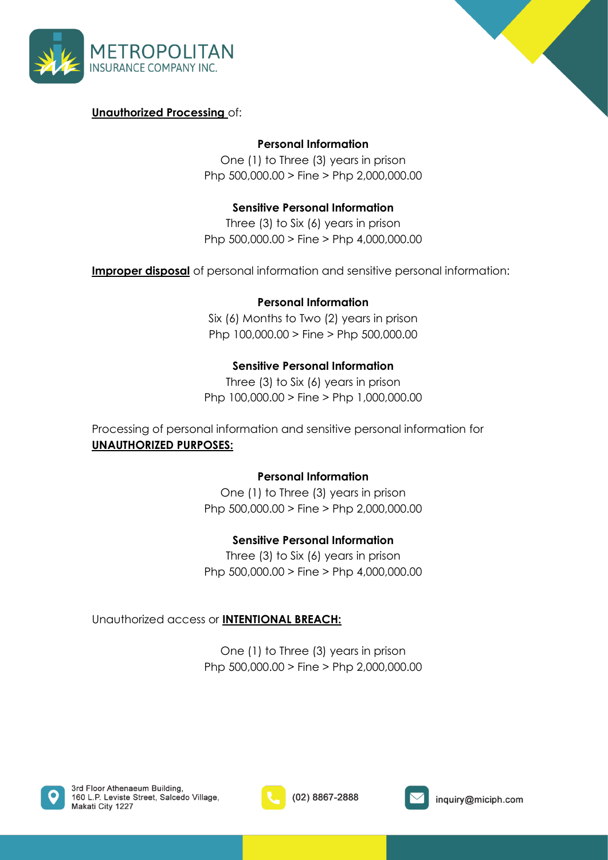



## **Unauthorized Processing** of:

## **Personal Information**

One (1) to Three (3) years in prison Php 500,000.00 > Fine > Php 2,000,000.00

## **Sensitive Personal Information**

Three (3) to Six (6) years in prison Php 500,000.00 > Fine > Php 4,000,000.00

**Improper disposal** of personal information and sensitive personal information:

## **Personal Information**

Six (6) Months to Two (2) years in prison Php 100,000.00 > Fine > Php 500,000.00

## **Sensitive Personal Information**

Three (3) to Six (6) years in prison Php 100,000.00 > Fine > Php 1,000,000.00

Processing of personal information and sensitive personal information for **UNAUTHORIZED PURPOSES:** 

### **Personal Information**

One (1) to Three (3) years in prison Php 500,000.00 > Fine > Php 2,000,000.00

### **Sensitive Personal Information**

Three (3) to Six (6) years in prison Php 500,000.00 > Fine > Php 4,000,000.00

Unauthorized access or **INTENTIONAL BREACH:**

One (1) to Three (3) years in prison Php 500,000.00 > Fine > Php 2,000,000.00





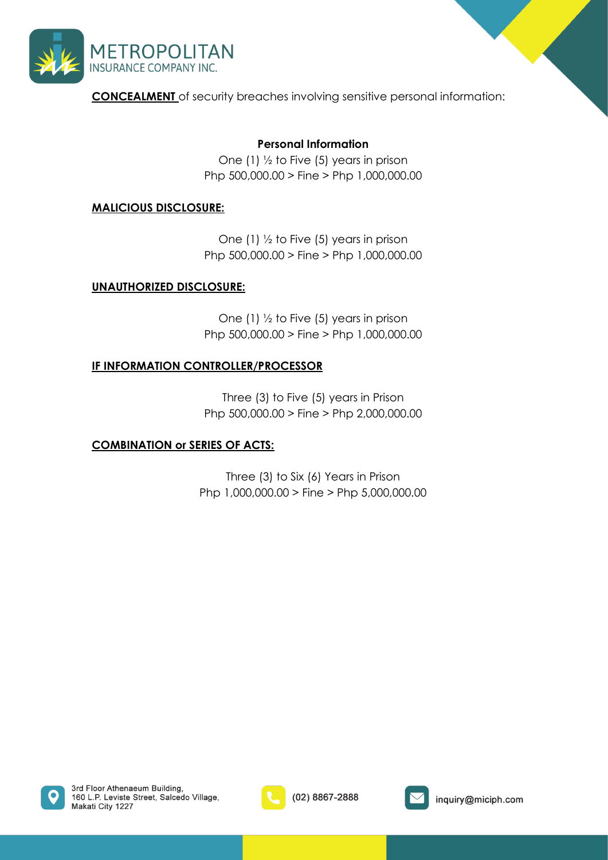

**CONCEALMENT** of security breaches involving sensitive personal information:

## **Personal Information**

One (1) ½ to Five (5) years in prison Php 500,000.00 > Fine > Php 1,000,000.00

## **MALICIOUS DISCLOSURE:**

One (1) ½ to Five (5) years in prison Php 500,000.00 > Fine > Php 1,000,000.00

### **UNAUTHORIZED DISCLOSURE:**

One (1) ½ to Five (5) years in prison Php 500,000.00 > Fine > Php 1,000,000.00

### **IF INFORMATION CONTROLLER/PROCESSOR**

Three (3) to Five (5) years in Prison Php 500,000.00 > Fine > Php 2,000,000.00

### **COMBINATION or SERIES OF ACTS:**

Three (3) to Six (6) Years in Prison Php 1,000,000.00 > Fine > Php 5,000,000.00





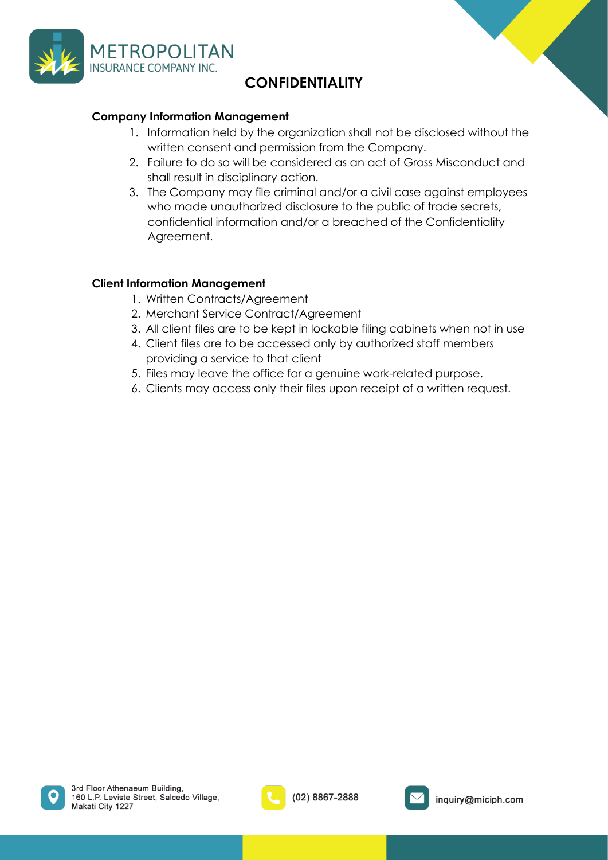

## **CONFIDENTIALITY**

### <span id="page-29-0"></span>**Company Information Management**

- 1. Information held by the organization shall not be disclosed without the written consent and permission from the Company.
- 2. Failure to do so will be considered as an act of Gross Misconduct and shall result in disciplinary action.
- 3. The Company may file criminal and/or a civil case against employees who made unauthorized disclosure to the public of trade secrets, confidential information and/or a breached of the Confidentiality Agreement.

### **Client Information Management**

- 1. Written Contracts/Agreement
- 2. Merchant Service Contract/Agreement
- 3. All client files are to be kept in lockable filing cabinets when not in use
- 4. Client files are to be accessed only by authorized staff members providing a service to that client
- 5. Files may leave the office for a genuine work-related purpose.
- 6. Clients may access only their files upon receipt of a written request.



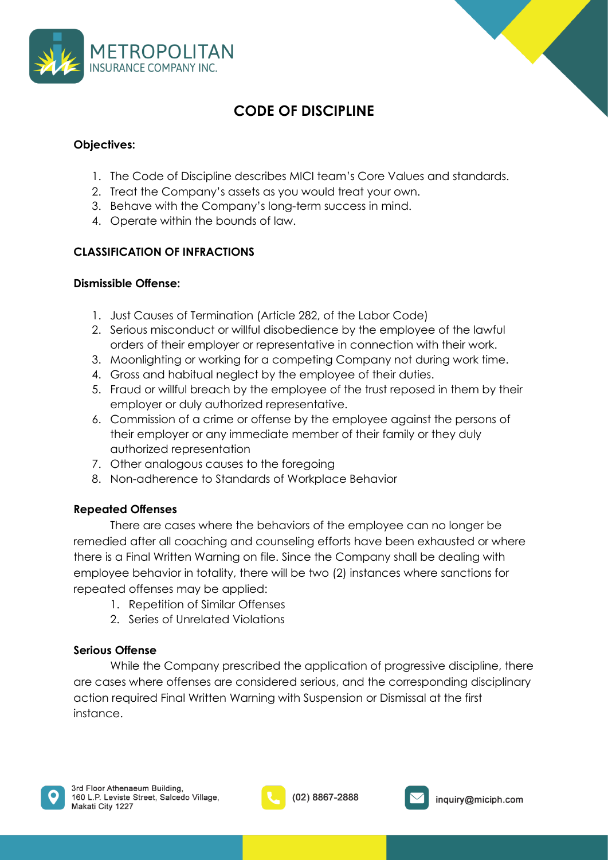



## **CODE OF DISCIPLINE**

## <span id="page-30-0"></span>**Objectives:**

- 1. The Code of Discipline describes MICI team's Core Values and standards.
- 2. Treat the Company's assets as you would treat your own.
- 3. Behave with the Company's long-term success in mind.
- 4. Operate within the bounds of law.

## **CLASSIFICATION OF INFRACTIONS**

## **Dismissible Offense:**

- 1. Just Causes of Termination (Article 282, of the Labor Code)
- 2. Serious misconduct or willful disobedience by the employee of the lawful orders of their employer or representative in connection with their work.
- 3. Moonlighting or working for a competing Company not during work time.
- 4. Gross and habitual neglect by the employee of their duties.
- 5. Fraud or willful breach by the employee of the trust reposed in them by their employer or duly authorized representative.
- 6. Commission of a crime or offense by the employee against the persons of their employer or any immediate member of their family or they duly authorized representation
- 7. Other analogous causes to the foregoing
- 8. Non-adherence to Standards of Workplace Behavior

## **Repeated Offenses**

There are cases where the behaviors of the employee can no longer be remedied after all coaching and counseling efforts have been exhausted or where there is a Final Written Warning on file. Since the Company shall be dealing with employee behavior in totality, there will be two (2) instances where sanctions for repeated offenses may be applied:

- 1. Repetition of Similar Offenses
- 2. Series of Unrelated Violations

## **Serious Offense**

While the Company prescribed the application of progressive discipline, there are cases where offenses are considered serious, and the corresponding disciplinary action required Final Written Warning with Suspension or Dismissal at the first instance.





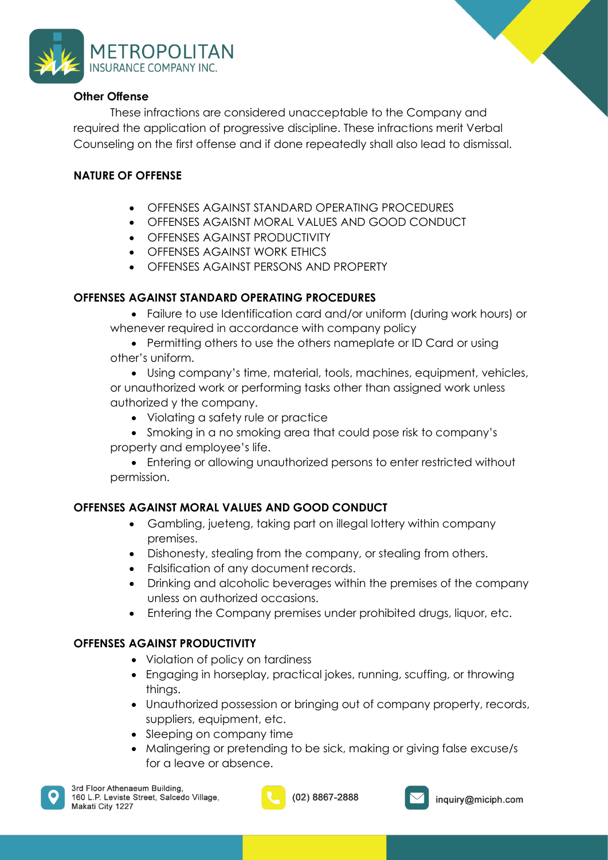

### **Other Offense**

These infractions are considered unacceptable to the Company and required the application of progressive discipline. These infractions merit Verbal Counseling on the first offense and if done repeatedly shall also lead to dismissal.

## **NATURE OF OFFENSE**

- OFFENSES AGAINST STANDARD OPERATING PROCEDURES
- OFFENSES AGAISNT MORAL VALUES AND GOOD CONDUCT
- OFFENSES AGAINST PRODUCTIVITY
- OFFENSES AGAINST WORK ETHICS
- OFFENSES AGAINST PERSONS AND PROPERTY

### **OFFENSES AGAINST STANDARD OPERATING PROCEDURES**

- Failure to use Identification card and/or uniform (during work hours) or whenever required in accordance with company policy
- Permitting others to use the others nameplate or ID Card or using other's uniform.

• Using company's time, material, tools, machines, equipment, vehicles, or unauthorized work or performing tasks other than assigned work unless authorized y the company.

- Violating a safety rule or practice
- Smoking in a no smoking area that could pose risk to company's property and employee's life.

• Entering or allowing unauthorized persons to enter restricted without permission.

## **OFFENSES AGAINST MORAL VALUES AND GOOD CONDUCT**

- Gambling, jueteng, taking part on illegal lottery within company premises.
- Dishonesty, stealing from the company, or stealing from others.
- Falsification of any document records.
- Drinking and alcoholic beverages within the premises of the company unless on authorized occasions.
- Entering the Company premises under prohibited drugs, liquor, etc.

### **OFFENSES AGAINST PRODUCTIVITY**

- Violation of policy on tardiness
- Engaging in horseplay, practical jokes, running, scuffing, or throwing things.
- Unauthorized possession or bringing out of company property, records, suppliers, equipment, etc.
- Sleeping on company time
- Malingering or pretending to be sick, making or giving false excuse/s for a leave or absence.



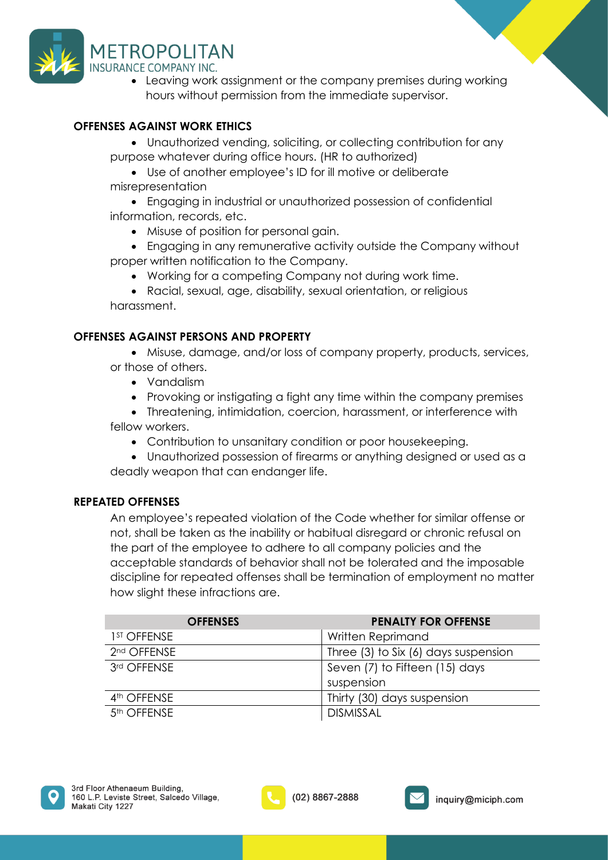

• Leaving work assignment or the company premises during working hours without permission from the immediate supervisor.

## **OFFENSES AGAINST WORK ETHICS**

• Unauthorized vending, soliciting, or collecting contribution for any purpose whatever during office hours. (HR to authorized)

• Use of another employee's ID for ill motive or deliberate misrepresentation

• Engaging in industrial or unauthorized possession of confidential information, records, etc.

- Misuse of position for personal gain.
- Engaging in any remunerative activity outside the Company without proper written notification to the Company.
	- Working for a competing Company not during work time.

• Racial, sexual, age, disability, sexual orientation, or religious harassment.

## **OFFENSES AGAINST PERSONS AND PROPERTY**

• Misuse, damage, and/or loss of company property, products, services, or those of others.

- Vandalism
- Provoking or instigating a fight any time within the company premises
- Threatening, intimidation, coercion, harassment, or interference with fellow workers.
	- Contribution to unsanitary condition or poor housekeeping.

• Unauthorized possession of firearms or anything designed or used as a deadly weapon that can endanger life.

### **REPEATED OFFENSES**

An employee's repeated violation of the Code whether for similar offense or not, shall be taken as the inability or habitual disregard or chronic refusal on the part of the employee to adhere to all company policies and the acceptable standards of behavior shall not be tolerated and the imposable discipline for repeated offenses shall be termination of employment no matter how slight these infractions are.

| <b>OFFENSES</b>         | <b>PENALTY FOR OFFENSE</b>           |
|-------------------------|--------------------------------------|
| 1 <sup>ST</sup> OFFENSE | Written Reprimand                    |
| 2 <sup>nd</sup> OFFENSE | Three (3) to Six (6) days suspension |
| 3rd OFFENSE             | Seven (7) to Fifteen (15) days       |
|                         | suspension                           |
| 4 <sup>th</sup> OFFENSE | Thirty (30) days suspension          |
| 5 <sup>th</sup> OFFENSE | <b>DISMISSAL</b>                     |